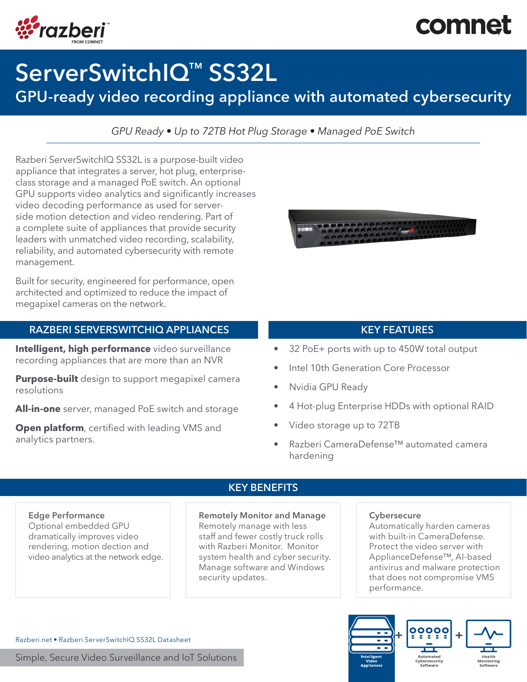# comnet



# ServerSwitchIQ™ SS32L

## GPU-ready video recording appliance with automated cybersecurity

*GPU Ready • Up to 72TB Hot Plug Storage • Managed PoE Switch*

Razberi ServerSwitchIQ SS32L is a purpose-built video appliance that integrates a server, hot plug, enterpriseclass storage and a managed PoE switch. An optional GPU supports video analytics and significantly increases video decoding performance as used for serverside motion detection and video rendering. Part of a complete suite of appliances that provide security leaders with unmatched video recording, scalability, reliability, and automated cybersecurity with remote management.

Built for security, engineered for performance, open architected and optimized to reduce the impact of megapixel cameras on the network.

### RAZBERI SERVERSWITCHIQ APPLIANCES KEY FEATURES

Intelligent, high performance video surveillance recording appliances that are more than an NVR

**Purpose-built** design to support megapixel camera resolutions

All-in-one server, managed PoE switch and storage

**Open platform**, certified with leading VMS and analytics partners.



- 32 PoE+ ports with up to 450W total output
- Intel 10th Generation Core Processor
- Nvidia GPU Ready
- 4 Hot-plug Enterprise HDDs with optional RAID
- Video storage up to 72TB
- Razberi CameraDefense™ automated camera hardening

#### Edge Performance

Optional embedded GPU dramatically improves video rendering, motion dection and video analytics at the network edge.

### KEY BENEFITS

#### Remotely Monitor and Manage

Remotely manage with less staff and fewer costly truck rolls with Razberi Monitor. Monitor system health and cyber security. Manage software and Windows security updates.

#### **Cybersecure**

Automatically harden cameras with built-in CameraDefense. Protect the video server with ApplianceDefense™, AI-based antivirus and malware protection that does not compromise VMS performance.



Razberi.net • Razberi ServerSwitchIQ SS32L Datasheet